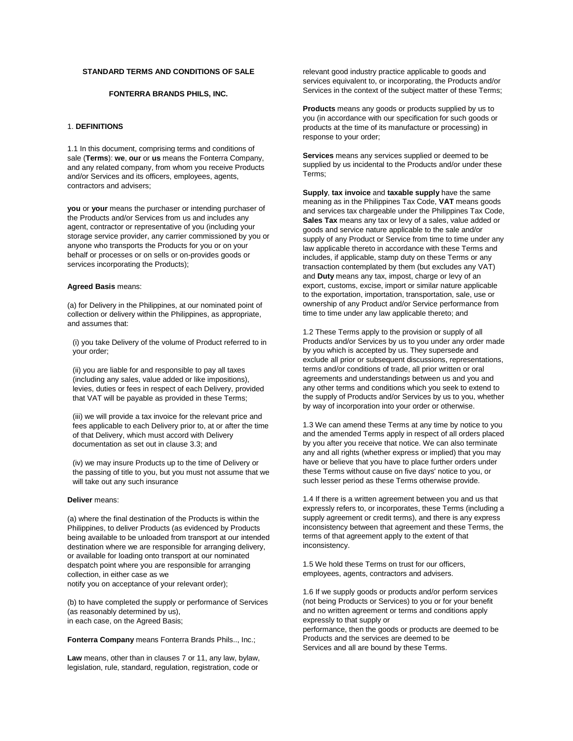## **STANDARD TERMS AND CONDITIONS OF SALE**

### **FONTERRA BRANDS PHILS, INC.**

## 1. **DEFINITIONS**

1.1 In this document, comprising terms and conditions of sale (**Terms**): **we**, **our** or **us** means the Fonterra Company, and any related company, from whom you receive Products and/or Services and its officers, employees, agents, contractors and advisers;

**you** or **your** means the purchaser or intending purchaser of the Products and/or Services from us and includes any agent, contractor or representative of you (including your storage service provider, any carrier commissioned by you or anyone who transports the Products for you or on your behalf or processes or on sells or on-provides goods or services incorporating the Products);

#### **Agreed Basis** means:

(a) for Delivery in the Philippines, at our nominated point of collection or delivery within the Philippines, as appropriate, and assumes that:

(i) you take Delivery of the volume of Product referred to in your order;

(ii) you are liable for and responsible to pay all taxes (including any sales, value added or like impositions), levies, duties or fees in respect of each Delivery, provided that VAT will be payable as provided in these Terms;

(iii) we will provide a tax invoice for the relevant price and fees applicable to each Delivery prior to, at or after the time of that Delivery, which must accord with Delivery documentation as set out in clause 3.3; and

(iv) we may insure Products up to the time of Delivery or the passing of title to you, but you must not assume that we will take out any such insurance

### **Deliver** means:

(a) where the final destination of the Products is within the Philippines, to deliver Products (as evidenced by Products being available to be unloaded from transport at our intended destination where we are responsible for arranging delivery, or available for loading onto transport at our nominated despatch point where you are responsible for arranging collection, in either case as we notify you on acceptance of your relevant order);

(b) to have completed the supply or performance of Services (as reasonably determined by us), in each case, on the Agreed Basis;

**Fonterra Company** means Fonterra Brands Phils.., Inc.;

**Law** means, other than in clauses 7 or 11, any law, bylaw, legislation, rule, standard, regulation, registration, code or

relevant good industry practice applicable to goods and services equivalent to, or incorporating, the Products and/or Services in the context of the subject matter of these Terms;

**Products** means any goods or products supplied by us to you (in accordance with our specification for such goods or products at the time of its manufacture or processing) in response to your order;

**Services** means any services supplied or deemed to be supplied by us incidental to the Products and/or under these Terms;

**Supply**, **tax invoice** and **taxable supply** have the same meaning as in the Philippines Tax Code, **VAT** means goods and services tax chargeable under the Philippines Tax Code, **Sales Tax** means any tax or levy of a sales, value added or goods and service nature applicable to the sale and/or supply of any Product or Service from time to time under any law applicable thereto in accordance with these Terms and includes, if applicable, stamp duty on these Terms or any transaction contemplated by them (but excludes any VAT) and **Duty** means any tax, impost, charge or levy of an export, customs, excise, import or similar nature applicable to the exportation, importation, transportation, sale, use or ownership of any Product and/or Service performance from time to time under any law applicable thereto; and

1.2 These Terms apply to the provision or supply of all Products and/or Services by us to you under any order made by you which is accepted by us. They supersede and exclude all prior or subsequent discussions, representations, terms and/or conditions of trade, all prior written or oral agreements and understandings between us and you and any other terms and conditions which you seek to extend to the supply of Products and/or Services by us to you, whether by way of incorporation into your order or otherwise.

1.3 We can amend these Terms at any time by notice to you and the amended Terms apply in respect of all orders placed by you after you receive that notice. We can also terminate any and all rights (whether express or implied) that you may have or believe that you have to place further orders under these Terms without cause on five days' notice to you, or such lesser period as these Terms otherwise provide.

1.4 If there is a written agreement between you and us that expressly refers to, or incorporates, these Terms (including a supply agreement or credit terms), and there is any express inconsistency between that agreement and these Terms, the terms of that agreement apply to the extent of that inconsistency.

1.5 We hold these Terms on trust for our officers, employees, agents, contractors and advisers.

1.6 If we supply goods or products and/or perform services (not being Products or Services) to you or for your benefit and no written agreement or terms and conditions apply expressly to that supply or performance, then the goods or products are deemed to be Products and the services are deemed to be Services and all are bound by these Terms.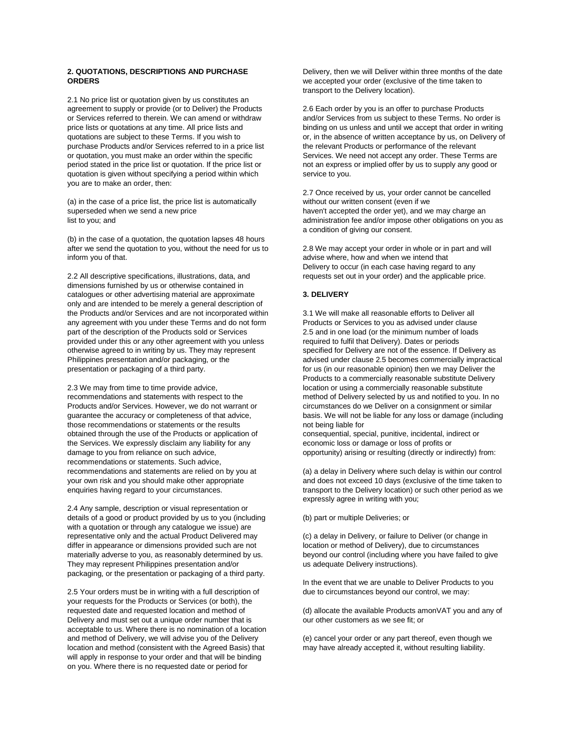### **2. QUOTATIONS, DESCRIPTIONS AND PURCHASE ORDERS**

2.1 No price list or quotation given by us constitutes an agreement to supply or provide (or to Deliver) the Products or Services referred to therein. We can amend or withdraw price lists or quotations at any time. All price lists and quotations are subject to these Terms. If you wish to purchase Products and/or Services referred to in a price list or quotation, you must make an order within the specific period stated in the price list or quotation. If the price list or quotation is given without specifying a period within which you are to make an order, then:

(a) in the case of a price list, the price list is automatically superseded when we send a new price list to you; and

(b) in the case of a quotation, the quotation lapses 48 hours after we send the quotation to you, without the need for us to inform you of that.

2.2 All descriptive specifications, illustrations, data, and dimensions furnished by us or otherwise contained in catalogues or other advertising material are approximate only and are intended to be merely a general description of the Products and/or Services and are not incorporated within any agreement with you under these Terms and do not form part of the description of the Products sold or Services provided under this or any other agreement with you unless otherwise agreed to in writing by us. They may represent Philippines presentation and/or packaging, or the presentation or packaging of a third party.

2.3 We may from time to time provide advice, recommendations and statements with respect to the Products and/or Services. However, we do not warrant or guarantee the accuracy or completeness of that advice, those recommendations or statements or the results obtained through the use of the Products or application of the Services. We expressly disclaim any liability for any damage to you from reliance on such advice, recommendations or statements. Such advice, recommendations and statements are relied on by you at your own risk and you should make other appropriate enquiries having regard to your circumstances.

2.4 Any sample, description or visual representation or details of a good or product provided by us to you (including with a quotation or through any catalogue we issue) are representative only and the actual Product Delivered may differ in appearance or dimensions provided such are not materially adverse to you, as reasonably determined by us. They may represent Philippines presentation and/or packaging, or the presentation or packaging of a third party.

2.5 Your orders must be in writing with a full description of your requests for the Products or Services (or both), the requested date and requested location and method of Delivery and must set out a unique order number that is acceptable to us. Where there is no nomination of a location and method of Delivery, we will advise you of the Delivery location and method (consistent with the Agreed Basis) that will apply in response to your order and that will be binding on you. Where there is no requested date or period for

Delivery, then we will Deliver within three months of the date we accepted your order (exclusive of the time taken to transport to the Delivery location).

2.6 Each order by you is an offer to purchase Products and/or Services from us subject to these Terms. No order is binding on us unless and until we accept that order in writing or, in the absence of written acceptance by us, on Delivery of the relevant Products or performance of the relevant Services. We need not accept any order. These Terms are not an express or implied offer by us to supply any good or service to you.

2.7 Once received by us, your order cannot be cancelled without our written consent (even if we haven't accepted the order yet), and we may charge an administration fee and/or impose other obligations on you as a condition of giving our consent.

2.8 We may accept your order in whole or in part and will advise where, how and when we intend that Delivery to occur (in each case having regard to any requests set out in your order) and the applicable price.

## **3. DELIVERY**

3.1 We will make all reasonable efforts to Deliver all Products or Services to you as advised under clause 2.5 and in one load (or the minimum number of loads required to fulfil that Delivery). Dates or periods specified for Delivery are not of the essence. If Delivery as advised under clause 2.5 becomes commercially impractical for us (in our reasonable opinion) then we may Deliver the Products to a commercially reasonable substitute Delivery location or using a commercially reasonable substitute method of Delivery selected by us and notified to you. In no circumstances do we Deliver on a consignment or similar basis. We will not be liable for any loss or damage (including not being liable for

consequential, special, punitive, incidental, indirect or economic loss or damage or loss of profits or opportunity) arising or resulting (directly or indirectly) from:

(a) a delay in Delivery where such delay is within our control and does not exceed 10 days (exclusive of the time taken to transport to the Delivery location) or such other period as we expressly agree in writing with you;

(b) part or multiple Deliveries; or

(c) a delay in Delivery, or failure to Deliver (or change in location or method of Delivery), due to circumstances beyond our control (including where you have failed to give us adequate Delivery instructions).

In the event that we are unable to Deliver Products to you due to circumstances beyond our control, we may:

(d) allocate the available Products amonVAT you and any of our other customers as we see fit; or

(e) cancel your order or any part thereof, even though we may have already accepted it, without resulting liability.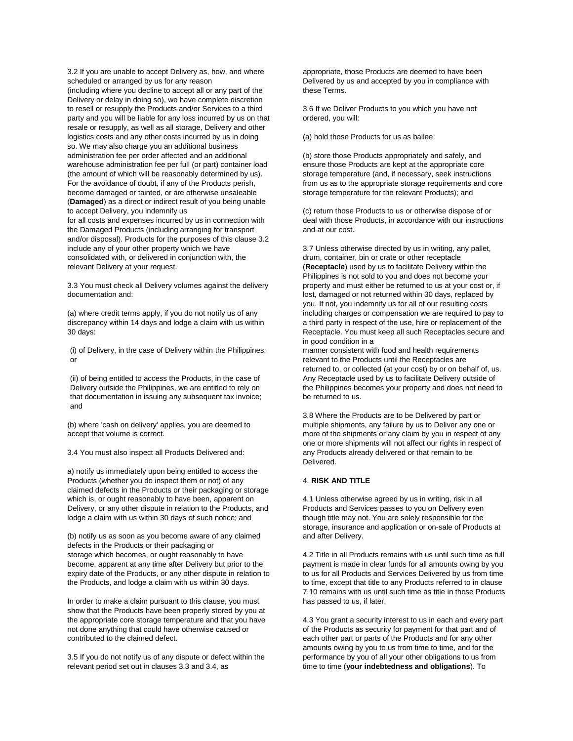3.2 If you are unable to accept Delivery as, how, and where scheduled or arranged by us for any reason

(including where you decline to accept all or any part of the Delivery or delay in doing so), we have complete discretion to resell or resupply the Products and/or Services to a third party and you will be liable for any loss incurred by us on that resale or resupply, as well as all storage, Delivery and other logistics costs and any other costs incurred by us in doing so. We may also charge you an additional business administration fee per order affected and an additional warehouse administration fee per full (or part) container load (the amount of which will be reasonably determined by us). For the avoidance of doubt, if any of the Products perish, become damaged or tainted, or are otherwise unsaleable (**Damaged**) as a direct or indirect result of you being unable to accept Delivery, you indemnify us for all costs and expenses incurred by us in connection with

the Damaged Products (including arranging for transport and/or disposal). Products for the purposes of this clause 3.2 include any of your other property which we have consolidated with, or delivered in conjunction with, the relevant Delivery at your request.

3.3 You must check all Delivery volumes against the delivery documentation and:

(a) where credit terms apply, if you do not notify us of any discrepancy within 14 days and lodge a claim with us within 30 days:

(i) of Delivery, in the case of Delivery within the Philippines; or

(ii) of being entitled to access the Products, in the case of Delivery outside the Philippines, we are entitled to rely on that documentation in issuing any subsequent tax invoice; and

(b) where 'cash on delivery' applies, you are deemed to accept that volume is correct.

3.4 You must also inspect all Products Delivered and:

a) notify us immediately upon being entitled to access the Products (whether you do inspect them or not) of any claimed defects in the Products or their packaging or storage which is, or ought reasonably to have been, apparent on Delivery, or any other dispute in relation to the Products, and lodge a claim with us within 30 days of such notice; and

(b) notify us as soon as you become aware of any claimed defects in the Products or their packaging or storage which becomes, or ought reasonably to have become, apparent at any time after Delivery but prior to the expiry date of the Products, or any other dispute in relation to the Products, and lodge a claim with us within 30 days.

In order to make a claim pursuant to this clause, you must show that the Products have been properly stored by you at the appropriate core storage temperature and that you have not done anything that could have otherwise caused or contributed to the claimed defect.

3.5 If you do not notify us of any dispute or defect within the relevant period set out in clauses 3.3 and 3.4, as

appropriate, those Products are deemed to have been Delivered by us and accepted by you in compliance with these Terms.

3.6 If we Deliver Products to you which you have not ordered, you will:

(a) hold those Products for us as bailee;

(b) store those Products appropriately and safely, and ensure those Products are kept at the appropriate core storage temperature (and, if necessary, seek instructions from us as to the appropriate storage requirements and core storage temperature for the relevant Products); and

(c) return those Products to us or otherwise dispose of or deal with those Products, in accordance with our instructions and at our cost.

3.7 Unless otherwise directed by us in writing, any pallet, drum, container, bin or crate or other receptacle (**Receptacle**) used by us to facilitate Delivery within the Philippines is not sold to you and does not become your property and must either be returned to us at your cost or, if lost, damaged or not returned within 30 days, replaced by you. If not, you indemnify us for all of our resulting costs including charges or compensation we are required to pay to a third party in respect of the use, hire or replacement of the Receptacle. You must keep all such Receptacles secure and in good condition in a

manner consistent with food and health requirements relevant to the Products until the Receptacles are returned to, or collected (at your cost) by or on behalf of, us. Any Receptacle used by us to facilitate Delivery outside of the Philippines becomes your property and does not need to be returned to us.

3.8 Where the Products are to be Delivered by part or multiple shipments, any failure by us to Deliver any one or more of the shipments or any claim by you in respect of any one or more shipments will not affect our rights in respect of any Products already delivered or that remain to be Delivered.

# 4. **RISK AND TITLE**

4.1 Unless otherwise agreed by us in writing, risk in all Products and Services passes to you on Delivery even though title may not. You are solely responsible for the storage, insurance and application or on-sale of Products at and after Delivery.

4.2 Title in all Products remains with us until such time as full payment is made in clear funds for all amounts owing by you to us for all Products and Services Delivered by us from time to time, except that title to any Products referred to in clause 7.10 remains with us until such time as title in those Products has passed to us, if later.

4.3 You grant a security interest to us in each and every part of the Products as security for payment for that part and of each other part or parts of the Products and for any other amounts owing by you to us from time to time, and for the performance by you of all your other obligations to us from time to time (**your indebtedness and obligations**). To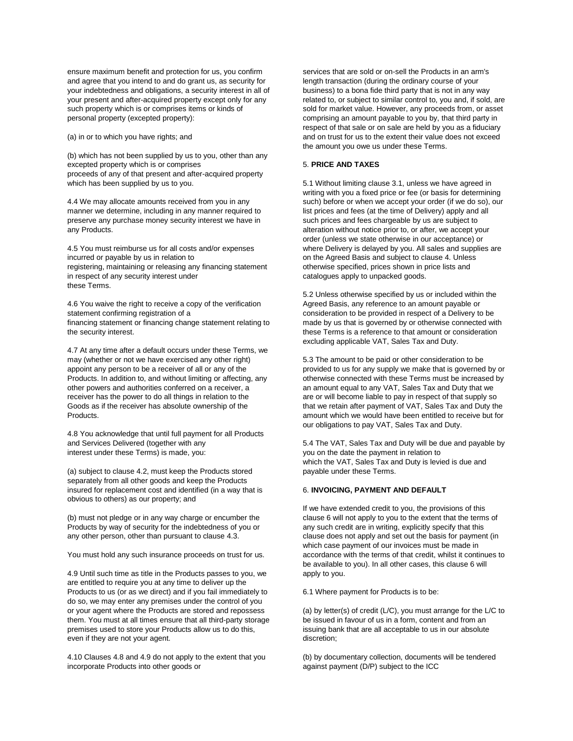ensure maximum benefit and protection for us, you confirm and agree that you intend to and do grant us, as security for your indebtedness and obligations, a security interest in all of your present and after-acquired property except only for any such property which is or comprises items or kinds of personal property (excepted property):

(a) in or to which you have rights; and

(b) which has not been supplied by us to you, other than any excepted property which is or comprises proceeds of any of that present and after-acquired property which has been supplied by us to you.

4.4 We may allocate amounts received from you in any manner we determine, including in any manner required to preserve any purchase money security interest we have in any Products.

4.5 You must reimburse us for all costs and/or expenses incurred or payable by us in relation to registering, maintaining or releasing any financing statement in respect of any security interest under these Terms.

4.6 You waive the right to receive a copy of the verification statement confirming registration of a financing statement or financing change statement relating to the security interest.

4.7 At any time after a default occurs under these Terms, we may (whether or not we have exercised any other right) appoint any person to be a receiver of all or any of the Products. In addition to, and without limiting or affecting, any other powers and authorities conferred on a receiver, a receiver has the power to do all things in relation to the Goods as if the receiver has absolute ownership of the Products.

4.8 You acknowledge that until full payment for all Products and Services Delivered (together with any interest under these Terms) is made, you:

(a) subject to clause 4.2, must keep the Products stored separately from all other goods and keep the Products insured for replacement cost and identified (in a way that is obvious to others) as our property; and

(b) must not pledge or in any way charge or encumber the Products by way of security for the indebtedness of you or any other person, other than pursuant to clause 4.3.

You must hold any such insurance proceeds on trust for us.

4.9 Until such time as title in the Products passes to you, we are entitled to require you at any time to deliver up the Products to us (or as we direct) and if you fail immediately to do so, we may enter any premises under the control of you or your agent where the Products are stored and repossess them. You must at all times ensure that all third-party storage premises used to store your Products allow us to do this, even if they are not your agent.

4.10 Clauses 4.8 and 4.9 do not apply to the extent that you incorporate Products into other goods or

services that are sold or on-sell the Products in an arm's length transaction (during the ordinary course of your business) to a bona fide third party that is not in any way related to, or subject to similar control to, you and, if sold, are sold for market value. However, any proceeds from, or asset comprising an amount payable to you by, that third party in respect of that sale or on sale are held by you as a fiduciary and on trust for us to the extent their value does not exceed the amount you owe us under these Terms.

# 5. **PRICE AND TAXES**

5.1 Without limiting clause 3.1, unless we have agreed in writing with you a fixed price or fee (or basis for determining such) before or when we accept your order (if we do so), our list prices and fees (at the time of Delivery) apply and all such prices and fees chargeable by us are subject to alteration without notice prior to, or after, we accept your order (unless we state otherwise in our acceptance) or where Delivery is delayed by you. All sales and supplies are on the Agreed Basis and subject to clause 4. Unless otherwise specified, prices shown in price lists and catalogues apply to unpacked goods.

5.2 Unless otherwise specified by us or included within the Agreed Basis, any reference to an amount payable or consideration to be provided in respect of a Delivery to be made by us that is governed by or otherwise connected with these Terms is a reference to that amount or consideration excluding applicable VAT, Sales Tax and Duty.

5.3 The amount to be paid or other consideration to be provided to us for any supply we make that is governed by or otherwise connected with these Terms must be increased by an amount equal to any VAT, Sales Tax and Duty that we are or will become liable to pay in respect of that supply so that we retain after payment of VAT, Sales Tax and Duty the amount which we would have been entitled to receive but for our obligations to pay VAT, Sales Tax and Duty.

5.4 The VAT, Sales Tax and Duty will be due and payable by you on the date the payment in relation to which the VAT, Sales Tax and Duty is levied is due and payable under these Terms.

# 6. **INVOICING, PAYMENT AND DEFAULT**

If we have extended credit to you, the provisions of this clause 6 will not apply to you to the extent that the terms of any such credit are in writing, explicitly specify that this clause does not apply and set out the basis for payment (in which case payment of our invoices must be made in accordance with the terms of that credit, whilst it continues to be available to you). In all other cases, this clause 6 will apply to you.

6.1 Where payment for Products is to be:

(a) by letter(s) of credit (L/C), you must arrange for the L/C to be issued in favour of us in a form, content and from an issuing bank that are all acceptable to us in our absolute discretion;

(b) by documentary collection, documents will be tendered against payment (D/P) subject to the ICC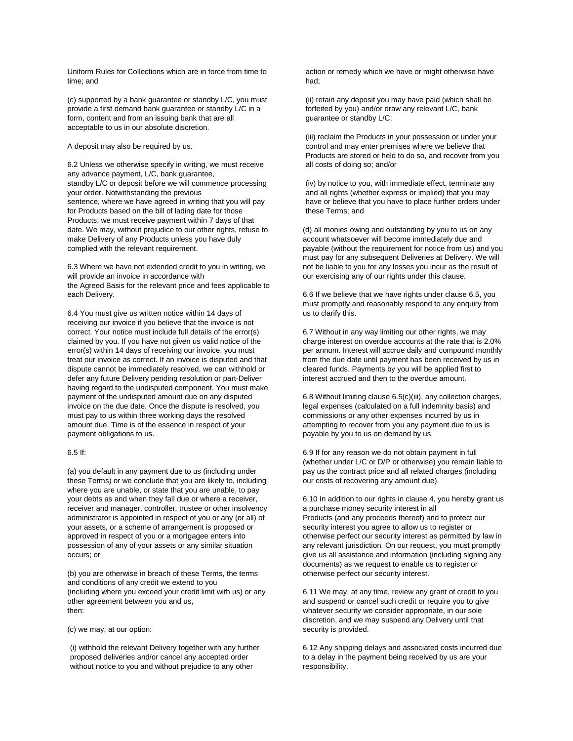Uniform Rules for Collections which are in force from time to time; and

(c) supported by a bank guarantee or standby L/C, you must provide a first demand bank guarantee or standby L/C in a form, content and from an issuing bank that are all acceptable to us in our absolute discretion.

A deposit may also be required by us.

6.2 Unless we otherwise specify in writing, we must receive any advance payment, L/C, bank guarantee, standby L/C or deposit before we will commence processing your order. Notwithstanding the previous sentence, where we have agreed in writing that you will pay for Products based on the bill of lading date for those Products, we must receive payment within 7 days of that date. We may, without prejudice to our other rights, refuse to make Delivery of any Products unless you have duly complied with the relevant requirement.

6.3 Where we have not extended credit to you in writing, we will provide an invoice in accordance with the Agreed Basis for the relevant price and fees applicable to each Delivery.

6.4 You must give us written notice within 14 days of receiving our invoice if you believe that the invoice is not correct. Your notice must include full details of the error(s) claimed by you. If you have not given us valid notice of the error(s) within 14 days of receiving our invoice, you must treat our invoice as correct. If an invoice is disputed and that dispute cannot be immediately resolved, we can withhold or defer any future Delivery pending resolution or part-Deliver having regard to the undisputed component. You must make payment of the undisputed amount due on any disputed invoice on the due date. Once the dispute is resolved, you must pay to us within three working days the resolved amount due. Time is of the essence in respect of your payment obligations to us.

## 6.5 If:

(a) you default in any payment due to us (including under these Terms) or we conclude that you are likely to, including where you are unable, or state that you are unable, to pay your debts as and when they fall due or where a receiver, receiver and manager, controller, trustee or other insolvency administrator is appointed in respect of you or any (or all) of your assets, or a scheme of arrangement is proposed or approved in respect of you or a mortgagee enters into possession of any of your assets or any similar situation occurs; or

(b) you are otherwise in breach of these Terms, the terms and conditions of any credit we extend to you (including where you exceed your credit limit with us) or any other agreement between you and us, then:

(c) we may, at our option:

(i) withhold the relevant Delivery together with any further proposed deliveries and/or cancel any accepted order without notice to you and without prejudice to any other

action or remedy which we have or might otherwise have had;

(ii) retain any deposit you may have paid (which shall be forfeited by you) and/or draw any relevant L/C, bank guarantee or standby L/C;

(iii) reclaim the Products in your possession or under your control and may enter premises where we believe that Products are stored or held to do so, and recover from you all costs of doing so; and/or

(iv) by notice to you, with immediate effect, terminate any and all rights (whether express or implied) that you may have or believe that you have to place further orders under these Terms; and

(d) all monies owing and outstanding by you to us on any account whatsoever will become immediately due and payable (without the requirement for notice from us) and you must pay for any subsequent Deliveries at Delivery. We will not be liable to you for any losses you incur as the result of our exercising any of our rights under this clause.

6.6 If we believe that we have rights under clause 6.5, you must promptly and reasonably respond to any enquiry from us to clarify this.

6.7 Without in any way limiting our other rights, we may charge interest on overdue accounts at the rate that is 2.0% per annum. Interest will accrue daily and compound monthly from the due date until payment has been received by us in cleared funds. Payments by you will be applied first to interest accrued and then to the overdue amount.

6.8 Without limiting clause 6.5(c)(iii), any collection charges, legal expenses (calculated on a full indemnity basis) and commissions or any other expenses incurred by us in attempting to recover from you any payment due to us is payable by you to us on demand by us.

6.9 If for any reason we do not obtain payment in full (whether under L/C or D/P or otherwise) you remain liable to pay us the contract price and all related charges (including our costs of recovering any amount due).

6.10 In addition to our rights in clause 4, you hereby grant us a purchase money security interest in all Products (and any proceeds thereof) and to protect our security interest you agree to allow us to register or otherwise perfect our security interest as permitted by law in any relevant jurisdiction. On our request, you must promptly give us all assistance and information (including signing any documents) as we request to enable us to register or otherwise perfect our security interest.

6.11 We may, at any time, review any grant of credit to you and suspend or cancel such credit or require you to give whatever security we consider appropriate, in our sole discretion, and we may suspend any Delivery until that security is provided.

6.12 Any shipping delays and associated costs incurred due to a delay in the payment being received by us are your responsibility.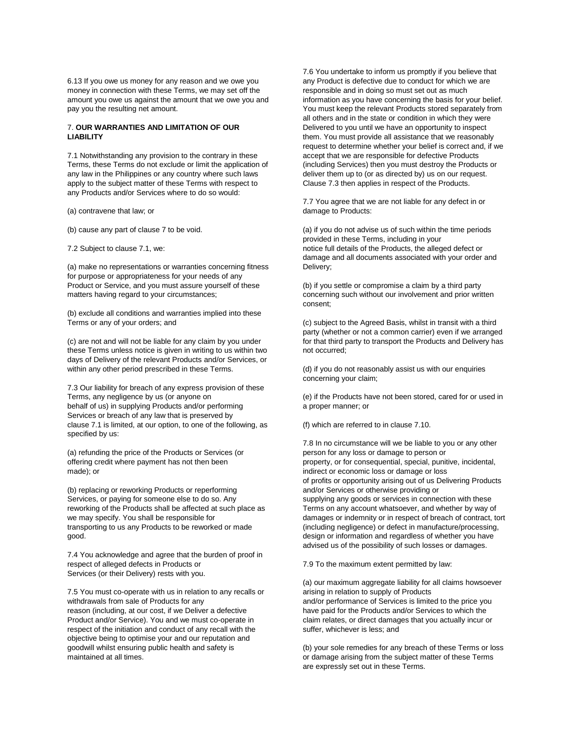6.13 If you owe us money for any reason and we owe you money in connection with these Terms, we may set off the amount you owe us against the amount that we owe you and pay you the resulting net amount.

## 7. **OUR WARRANTIES AND LIMITATION OF OUR LIABILITY**

7.1 Notwithstanding any provision to the contrary in these Terms, these Terms do not exclude or limit the application of any law in the Philippines or any country where such laws apply to the subject matter of these Terms with respect to any Products and/or Services where to do so would:

(a) contravene that law; or

(b) cause any part of clause 7 to be void.

7.2 Subject to clause 7.1, we:

(a) make no representations or warranties concerning fitness for purpose or appropriateness for your needs of any Product or Service, and you must assure yourself of these matters having regard to your circumstances;

(b) exclude all conditions and warranties implied into these Terms or any of your orders; and

(c) are not and will not be liable for any claim by you under these Terms unless notice is given in writing to us within two days of Delivery of the relevant Products and/or Services, or within any other period prescribed in these Terms.

7.3 Our liability for breach of any express provision of these Terms, any negligence by us (or anyone on behalf of us) in supplying Products and/or performing Services or breach of any law that is preserved by clause 7.1 is limited, at our option, to one of the following, as specified by us:

(a) refunding the price of the Products or Services (or offering credit where payment has not then been made); or

(b) replacing or reworking Products or reperforming Services, or paying for someone else to do so. Any reworking of the Products shall be affected at such place as we may specify. You shall be responsible for transporting to us any Products to be reworked or made good.

7.4 You acknowledge and agree that the burden of proof in respect of alleged defects in Products or Services (or their Delivery) rests with you.

7.5 You must co-operate with us in relation to any recalls or withdrawals from sale of Products for any reason (including, at our cost, if we Deliver a defective Product and/or Service). You and we must co-operate in respect of the initiation and conduct of any recall with the objective being to optimise your and our reputation and goodwill whilst ensuring public health and safety is maintained at all times.

7.6 You undertake to inform us promptly if you believe that any Product is defective due to conduct for which we are responsible and in doing so must set out as much information as you have concerning the basis for your belief. You must keep the relevant Products stored separately from all others and in the state or condition in which they were Delivered to you until we have an opportunity to inspect them. You must provide all assistance that we reasonably request to determine whether your belief is correct and, if we accept that we are responsible for defective Products (including Services) then you must destroy the Products or deliver them up to (or as directed by) us on our request. Clause 7.3 then applies in respect of the Products.

7.7 You agree that we are not liable for any defect in or damage to Products:

(a) if you do not advise us of such within the time periods provided in these Terms, including in your notice full details of the Products, the alleged defect or damage and all documents associated with your order and Delivery;

(b) if you settle or compromise a claim by a third party concerning such without our involvement and prior written consent;

(c) subject to the Agreed Basis, whilst in transit with a third party (whether or not a common carrier) even if we arranged for that third party to transport the Products and Delivery has not occurred;

(d) if you do not reasonably assist us with our enquiries concerning your claim;

(e) if the Products have not been stored, cared for or used in a proper manner; or

(f) which are referred to in clause 7.10.

7.8 In no circumstance will we be liable to you or any other person for any loss or damage to person or property, or for consequential, special, punitive, incidental, indirect or economic loss or damage or loss of profits or opportunity arising out of us Delivering Products and/or Services or otherwise providing or supplying any goods or services in connection with these Terms on any account whatsoever, and whether by way of damages or indemnity or in respect of breach of contract, tort (including negligence) or defect in manufacture/processing, design or information and regardless of whether you have advised us of the possibility of such losses or damages.

7.9 To the maximum extent permitted by law:

(a) our maximum aggregate liability for all claims howsoever arising in relation to supply of Products and/or performance of Services is limited to the price you have paid for the Products and/or Services to which the claim relates, or direct damages that you actually incur or suffer, whichever is less; and

(b) your sole remedies for any breach of these Terms or loss or damage arising from the subject matter of these Terms are expressly set out in these Terms.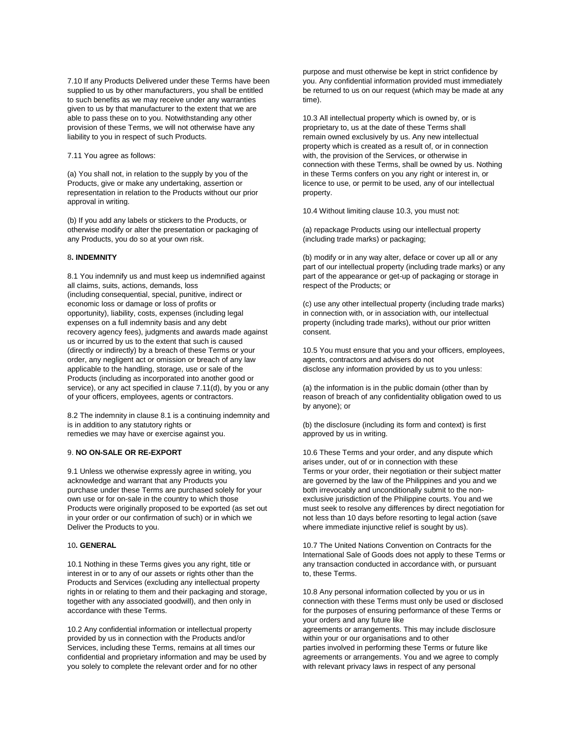7.10 If any Products Delivered under these Terms have been supplied to us by other manufacturers, you shall be entitled to such benefits as we may receive under any warranties given to us by that manufacturer to the extent that we are able to pass these on to you. Notwithstanding any other provision of these Terms, we will not otherwise have any liability to you in respect of such Products.

#### 7.11 You agree as follows:

(a) You shall not, in relation to the supply by you of the Products, give or make any undertaking, assertion or representation in relation to the Products without our prior approval in writing.

(b) If you add any labels or stickers to the Products, or otherwise modify or alter the presentation or packaging of any Products, you do so at your own risk.

### 8**. INDEMNITY**

8.1 You indemnify us and must keep us indemnified against all claims, suits, actions, demands, loss (including consequential, special, punitive, indirect or economic loss or damage or loss of profits or opportunity), liability, costs, expenses (including legal expenses on a full indemnity basis and any debt recovery agency fees), judgments and awards made against us or incurred by us to the extent that such is caused (directly or indirectly) by a breach of these Terms or your order, any negligent act or omission or breach of any law applicable to the handling, storage, use or sale of the Products (including as incorporated into another good or service), or any act specified in clause 7.11(d), by you or any of your officers, employees, agents or contractors.

8.2 The indemnity in clause 8.1 is a continuing indemnity and is in addition to any statutory rights or remedies we may have or exercise against you.

## 9. **NO ON-SALE OR RE-EXPORT**

9.1 Unless we otherwise expressly agree in writing, you acknowledge and warrant that any Products you purchase under these Terms are purchased solely for your own use or for on-sale in the country to which those Products were originally proposed to be exported (as set out in your order or our confirmation of such) or in which we Deliver the Products to you.

## 10**. GENERAL**

10.1 Nothing in these Terms gives you any right, title or interest in or to any of our assets or rights other than the Products and Services (excluding any intellectual property rights in or relating to them and their packaging and storage, together with any associated goodwill), and then only in accordance with these Terms.

10.2 Any confidential information or intellectual property provided by us in connection with the Products and/or Services, including these Terms, remains at all times our confidential and proprietary information and may be used by you solely to complete the relevant order and for no other

purpose and must otherwise be kept in strict confidence by you. Any confidential information provided must immediately be returned to us on our request (which may be made at any time).

10.3 All intellectual property which is owned by, or is proprietary to, us at the date of these Terms shall remain owned exclusively by us. Any new intellectual property which is created as a result of, or in connection with, the provision of the Services, or otherwise in connection with these Terms, shall be owned by us. Nothing in these Terms confers on you any right or interest in, or licence to use, or permit to be used, any of our intellectual property.

10.4 Without limiting clause 10.3, you must not:

(a) repackage Products using our intellectual property (including trade marks) or packaging;

(b) modify or in any way alter, deface or cover up all or any part of our intellectual property (including trade marks) or any part of the appearance or get-up of packaging or storage in respect of the Products; or

(c) use any other intellectual property (including trade marks) in connection with, or in association with, our intellectual property (including trade marks), without our prior written consent.

10.5 You must ensure that you and your officers, employees, agents, contractors and advisers do not disclose any information provided by us to you unless:

(a) the information is in the public domain (other than by reason of breach of any confidentiality obligation owed to us by anyone); or

(b) the disclosure (including its form and context) is first approved by us in writing.

10.6 These Terms and your order, and any dispute which arises under, out of or in connection with these Terms or your order, their negotiation or their subject matter are governed by the law of the Philippines and you and we both irrevocably and unconditionally submit to the nonexclusive jurisdiction of the Philippine courts. You and we must seek to resolve any differences by direct negotiation for not less than 10 days before resorting to legal action (save where immediate injunctive relief is sought by us).

10.7 The United Nations Convention on Contracts for the International Sale of Goods does not apply to these Terms or any transaction conducted in accordance with, or pursuant to, these Terms.

10.8 Any personal information collected by you or us in connection with these Terms must only be used or disclosed for the purposes of ensuring performance of these Terms or your orders and any future like

agreements or arrangements. This may include disclosure within your or our organisations and to other parties involved in performing these Terms or future like agreements or arrangements. You and we agree to comply with relevant privacy laws in respect of any personal